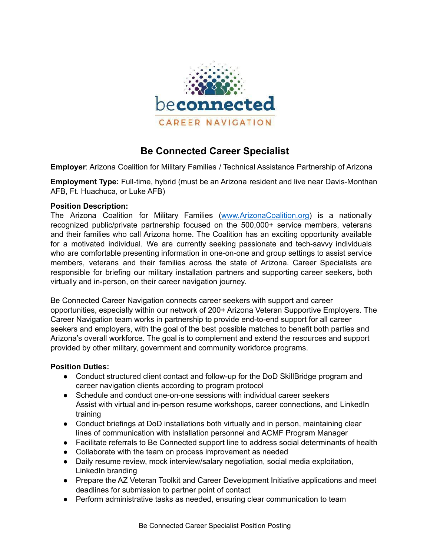

# **Be Connected Career Specialist**

**Employer**: Arizona Coalition for Military Families / Technical Assistance Partnership of Arizona

**Employment Type:** Full-time, hybrid (must be an Arizona resident and live near Davis-Monthan AFB, Ft. Huachuca, or Luke AFB)

#### **Position Description:**

The Arizona Coalition for Military Families [\(www.ArizonaCoalition.org\)](http://www.arizonacoalition.org) is a nationally recognized public/private partnership focused on the 500,000+ service members, veterans and their families who call Arizona home. The Coalition has an exciting opportunity available for a motivated individual. We are currently seeking passionate and tech-savvy individuals who are comfortable presenting information in one-on-one and group settings to assist service members, veterans and their families across the state of Arizona. Career Specialists are responsible for briefing our military installation partners and supporting career seekers, both virtually and in-person, on their career navigation journey.

Be Connected Career Navigation connects career seekers with support and career opportunities, especially within our network of 200+ Arizona Veteran Supportive Employers. The Career Navigation team works in partnership to provide end-to-end support for all career seekers and employers, with the goal of the best possible matches to benefit both parties and Arizona's overall workforce. The goal is to complement and extend the resources and support provided by other military, government and community workforce programs.

## **Position Duties:**

- Conduct structured client contact and follow-up for the DoD SkillBridge program and career navigation clients according to program protocol
- Schedule and conduct one-on-one sessions with individual career seekers Assist with virtual and in-person resume workshops, career connections, and LinkedIn training
- Conduct briefings at DoD installations both virtually and in person, maintaining clear lines of communication with installation personnel and ACMF Program Manager
- Facilitate referrals to Be Connected support line to address social determinants of health
- Collaborate with the team on process improvement as needed
- Daily resume review, mock interview/salary negotiation, social media exploitation, LinkedIn branding
- Prepare the AZ Veteran Toolkit and Career Development Initiative applications and meet deadlines for submission to partner point of contact
- Perform administrative tasks as needed, ensuring clear communication to team